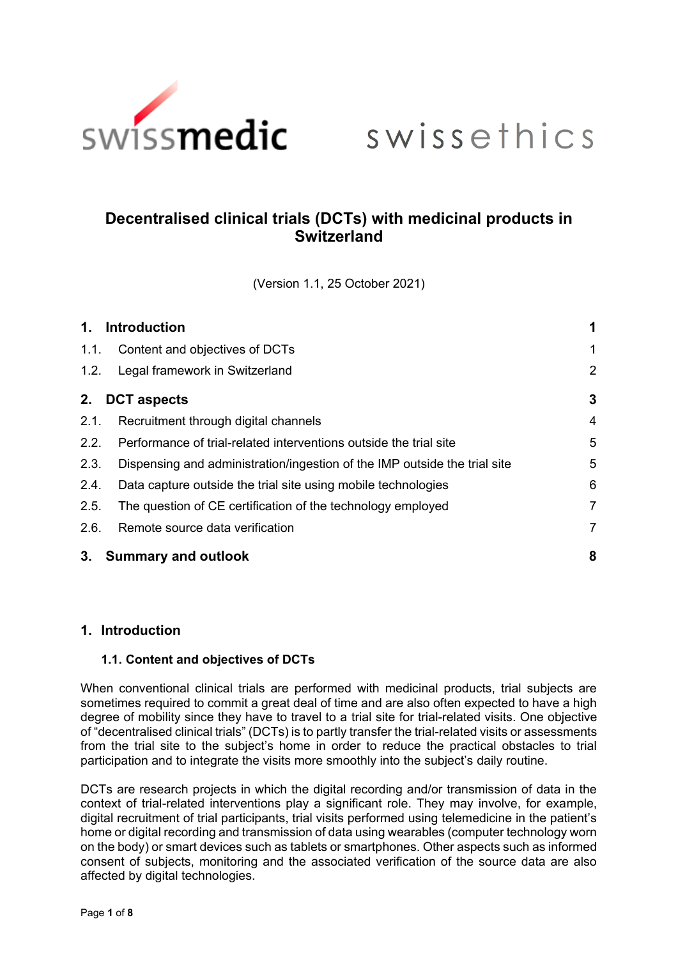

# swissethics

# **Decentralised clinical trials (DCTs) with medicinal products in Switzerland**

(Version 1.1, 25 October 2021)

| 1.                       | <b>Introduction</b>                                                       | 1              |
|--------------------------|---------------------------------------------------------------------------|----------------|
| 1.1.                     | Content and objectives of DCTs                                            | 1              |
| 1.2.                     | Legal framework in Switzerland                                            | $\overline{2}$ |
| <b>DCT</b> aspects<br>2. |                                                                           | 3              |
| 2.1.                     | Recruitment through digital channels                                      | $\overline{4}$ |
| 2.2.                     | Performance of trial-related interventions outside the trial site         | 5              |
| 2.3.                     | Dispensing and administration/ingestion of the IMP outside the trial site | 5              |
| 2.4.                     | Data capture outside the trial site using mobile technologies             | 6              |
| 2.5.                     | The question of CE certification of the technology employed               | 7              |
| 2.6.                     | Remote source data verification                                           | 7              |
| 3.                       | <b>Summary and outlook</b>                                                | 8              |

# <span id="page-0-0"></span>**1. Introduction**

#### <span id="page-0-1"></span>**1.1. Content and objectives of DCTs**

When conventional clinical trials are performed with medicinal products, trial subjects are sometimes required to commit a great deal of time and are also often expected to have a high degree of mobility since they have to travel to a trial site for trial-related visits. One objective of "decentralised clinical trials" (DCTs) is to partly transfer the trial-related visits or assessments from the trial site to the subject's home in order to reduce the practical obstacles to trial participation and to integrate the visits more smoothly into the subject's daily routine.

DCTs are research projects in which the digital recording and/or transmission of data in the context of trial-related interventions play a significant role. They may involve, for example, digital recruitment of trial participants, trial visits performed using telemedicine in the patient's home or digital recording and transmission of data using wearables (computer technology worn on the body) or smart devices such as tablets or smartphones. Other aspects such as informed consent of subjects, monitoring and the associated verification of the source data are also affected by digital technologies.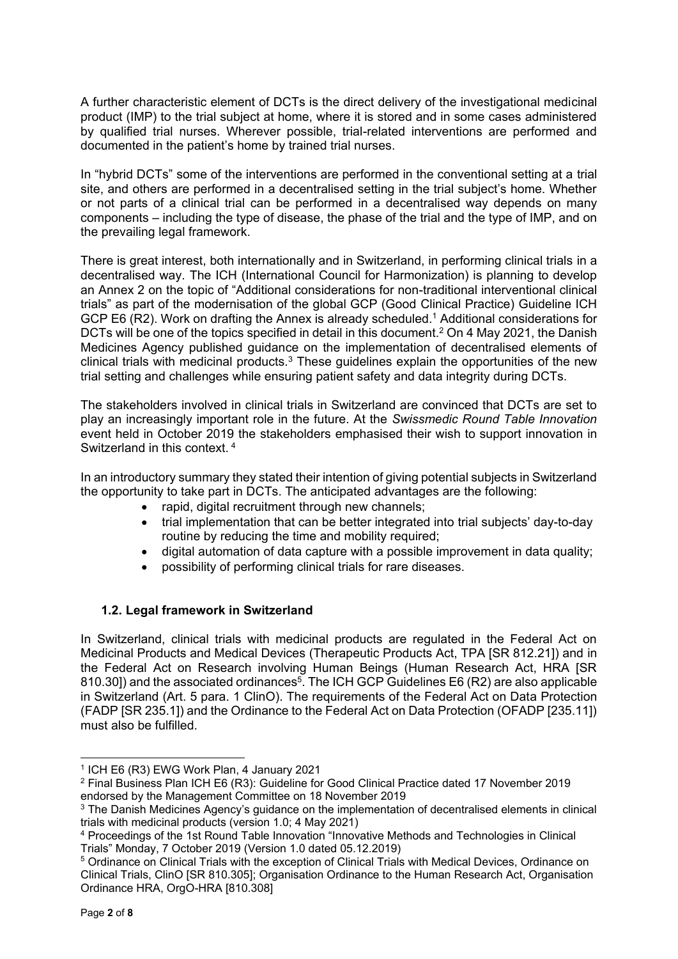A further characteristic element of DCTs is the direct delivery of the investigational medicinal product (IMP) to the trial subject at home, where it is stored and in some cases administered by qualified trial nurses. Wherever possible, trial-related interventions are performed and documented in the patient's home by trained trial nurses.

In "hybrid DCTs" some of the interventions are performed in the conventional setting at a trial site, and others are performed in a decentralised setting in the trial subject's home. Whether or not parts of a clinical trial can be performed in a decentralised way depends on many components – including the type of disease, the phase of the trial and the type of IMP, and on the prevailing legal framework.

There is great interest, both internationally and in Switzerland, in performing clinical trials in a decentralised way. The ICH (International Council for Harmonization) is planning to develop an Annex 2 on the topic of "Additional considerations for non-traditional interventional clinical trials" as part of the modernisation of the global GCP (Good Clinical Practice) Guideline ICH GCP E6 (R2). Work on drafting the Annex is already scheduled.<sup>1</sup> Additional considerations for DCTs will be one of the topics specified in detail in this document.<sup>2</sup> On 4 May 2021, the Danish Medicines Agency published guidance on the implementation of decentralised elements of clinical trials with medicinal products. $3$  These guidelines explain the opportunities of the new trial setting and challenges while ensuring patient safety and data integrity during DCTs.

The stakeholders involved in clinical trials in Switzerland are convinced that DCTs are set to play an increasingly important role in the future. At the *Swissmedic Round Table Innovation* event held in October 2019 the stakeholders emphasised their wish to support innovation in Switzerland in this context. <sup>4</sup>

In an introductory summary they stated their intention of giving potential subjects in Switzerland the opportunity to take part in DCTs. The anticipated advantages are the following:

- rapid, digital recruitment through new channels;
- trial implementation that can be better integrated into trial subjects' day-to-day routine by reducing the time and mobility required;
- digital automation of data capture with a possible improvement in data quality;
- possibility of performing clinical trials for rare diseases.

#### <span id="page-1-0"></span>**1.2. Legal framework in Switzerland**

In Switzerland, clinical trials with medicinal products are regulated in the Federal Act on Medicinal Products and Medical Devices (Therapeutic Products Act, TPA [SR 812.21]) and in the Federal Act on Research involving Human Beings (Human Research Act, HRA [SR 810.30]) and the associated ordinances<sup>5</sup>. The ICH GCP Guidelines E6 (R2) are also applicable in Switzerland (Art. 5 para. 1 ClinO). The requirements of the Federal Act on Data Protection (FADP [SR 235.1]) and the Ordinance to the Federal Act on Data Protection (OFADP [235.11]) must also be fulfilled.

1

<sup>1</sup> ICH E6 (R3) EWG Work Plan, 4 January 2021

<sup>2</sup> Final Business Plan ICH E6 (R3): Guideline for Good Clinical Practice dated 17 November 2019 endorsed by the Management Committee on 18 November 2019

<sup>&</sup>lt;sup>3</sup> The Danish Medicines Agency's guidance on the implementation of decentralised elements in clinical trials with medicinal products (version 1.0; 4 May 2021)

<sup>4</sup> Proceedings of the 1st Round Table Innovation "Innovative Methods and Technologies in Clinical Trials" Monday, 7 October 2019 (Version 1.0 dated 05.12.2019)

<sup>5</sup> Ordinance on Clinical Trials with the exception of Clinical Trials with Medical Devices, Ordinance on Clinical Trials, ClinO [SR 810.305]; Organisation Ordinance to the Human Research Act, Organisation Ordinance HRA, OrgO-HRA [810.308]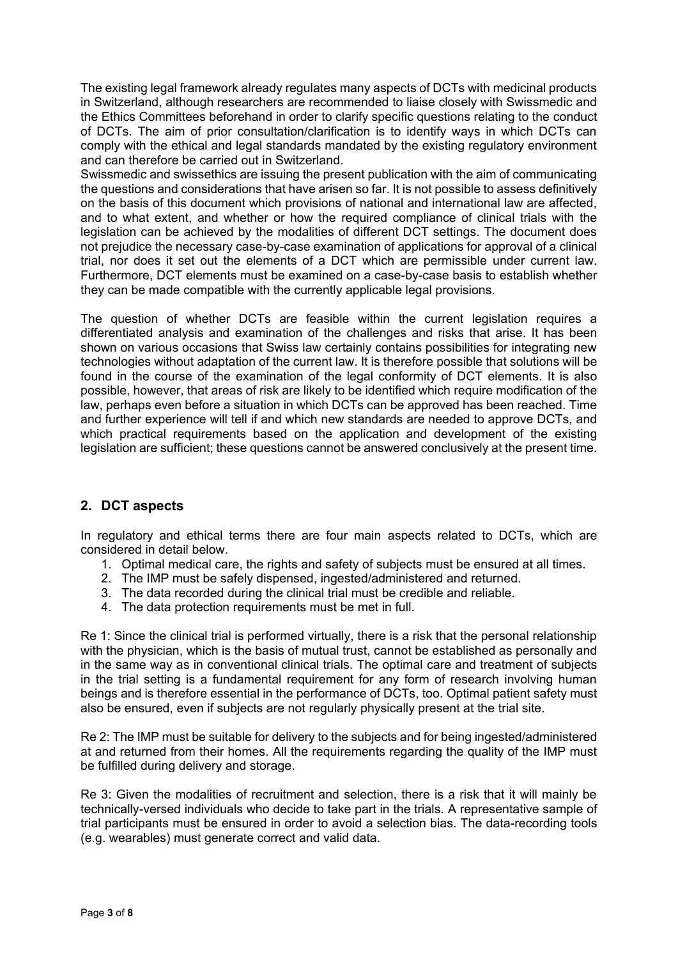The existing legal framework already regulates many aspects of DCTs with medicinal products in Switzerland, although researchers are recommended to liaise closely with Swissmedic and the Ethics Committees beforehand in order to clarify specific questions relating to the conduct of DCTs. The aim of prior consultation/clarification is to identify ways in which DCTs can comply with the ethical and legal standards mandated by the existing regulatory environment and can therefore be carried out in Switzerland.

Swissmedic and swissethics are issuing the present publication with the aim of communicating the questions and considerations that have arisen so far. It is not possible to assess definitively on the basis of this document which provisions of national and international law are affected, and to what extent, and whether or how the required compliance of clinical trials with the legislation can be achieved by the modalities of different DCT settings. The document does not prejudice the necessary case-by-case examination of applications for approval of a clinical trial, nor does it set out the elements of a DCT which are permissible under current law. Furthermore, DCT elements must be examined on a case-by-case basis to establish whether they can be made compatible with the currently applicable legal provisions.

The question of whether DCTs are feasible within the current legislation requires a differentiated analysis and examination of the challenges and risks that arise. It has been shown on various occasions that Swiss law certainly contains possibilities for integrating new technologies without adaptation of the current law. It is therefore possible that solutions will be found in the course of the examination of the legal conformity of DCT elements. It is also possible, however, that areas of risk are likely to be identified which require modification of the law, perhaps even before a situation in which DCTs can be approved has been reached. Time and further experience will tell if and which new standards are needed to approve DCTs, and which practical requirements based on the application and development of the existing legislation are sufficient; these questions cannot be answered conclusively at the present time.

# <span id="page-2-0"></span>**2. DCT aspects**

In regulatory and ethical terms there are four main aspects related to DCTs, which are considered in detail below.

- 1. Optimal medical care, the rights and safety of subjects must be ensured at all times.
- 2. The IMP must be safely dispensed, ingested/administered and returned.
- 3. The data recorded during the clinical trial must be credible and reliable.
- 4. The data protection requirements must be met in full.

Re 1: Since the clinical trial is performed virtually, there is a risk that the personal relationship with the physician, which is the basis of mutual trust, cannot be established as personally and in the same way as in conventional clinical trials. The optimal care and treatment of subjects in the trial setting is a fundamental requirement for any form of research involving human beings and is therefore essential in the performance of DCTs, too. Optimal patient safety must also be ensured, even if subjects are not regularly physically present at the trial site.

Re 2: The IMP must be suitable for delivery to the subjects and for being ingested/administered at and returned from their homes. All the requirements regarding the quality of the IMP must be fulfilled during delivery and storage.

Re 3: Given the modalities of recruitment and selection, there is a risk that it will mainly be technically-versed individuals who decide to take part in the trials. A representative sample of trial participants must be ensured in order to avoid a selection bias. The data-recording tools (e.g. wearables) must generate correct and valid data.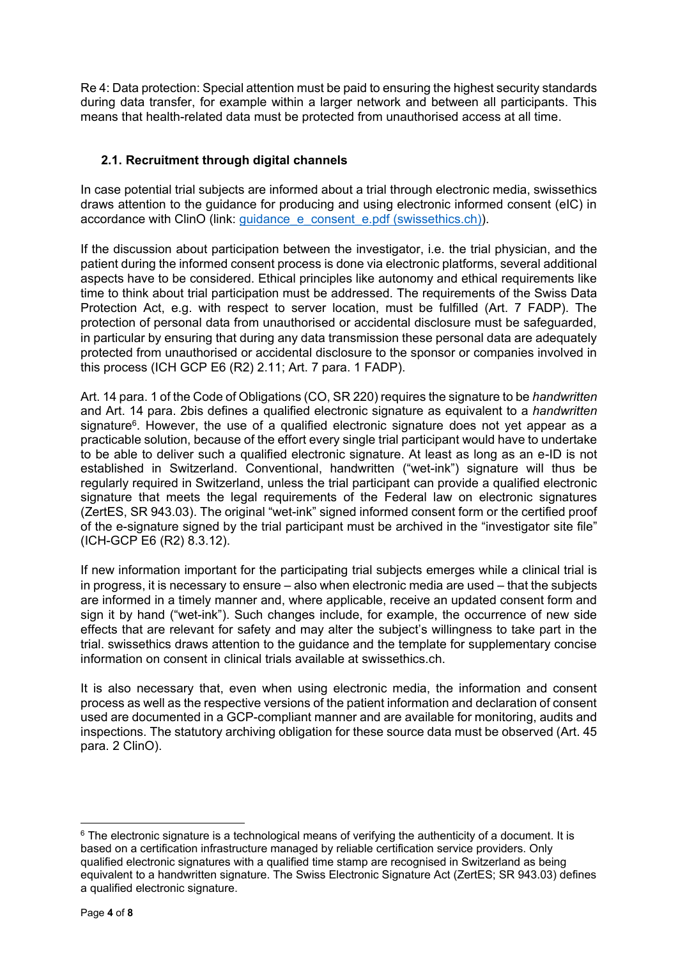Re 4: Data protection: Special attention must be paid to ensuring the highest security standards during data transfer, for example within a larger network and between all participants. This means that health-related data must be protected from unauthorised access at all time.

### <span id="page-3-0"></span>**2.1. Recruitment through digital channels**

In case potential trial subjects are informed about a trial through electronic media, swissethics draws attention to the guidance for producing and using electronic informed consent (eIC) in accordance with ClinO (link: guidance e consent e.pdf (swissethics.ch)).

If the discussion about participation between the investigator, i.e. the trial physician, and the patient during the informed consent process is done via electronic platforms, several additional aspects have to be considered. Ethical principles like autonomy and ethical requirements like time to think about trial participation must be addressed. The requirements of the Swiss Data Protection Act, e.g. with respect to server location, must be fulfilled (Art. 7 FADP). The protection of personal data from unauthorised or accidental disclosure must be safeguarded, in particular by ensuring that during any data transmission these personal data are adequately protected from unauthorised or accidental disclosure to the sponsor or companies involved in this process (ICH GCP E6 (R2) 2.11; Art. 7 para. 1 FADP).

Art. 14 para. 1 of the Code of Obligations (CO, SR 220) requires the signature to be *handwritten* and Art. 14 para. 2bis defines a qualified electronic signature as equivalent to a *handwritten* signature<sup>6</sup>. However, the use of a qualified electronic signature does not yet appear as a practicable solution, because of the effort every single trial participant would have to undertake to be able to deliver such a qualified electronic signature. At least as long as an e-ID is not established in Switzerland. Conventional, handwritten ("wet-ink") signature will thus be regularly required in Switzerland, unless the trial participant can provide a qualified electronic signature that meets the legal requirements of the Federal law on electronic signatures (ZertES, SR 943.03). The original "wet-ink" signed informed consent form or the certified proof of the e-signature signed by the trial participant must be archived in the "investigator site file" (ICH-GCP E6 (R2) 8.3.12).

If new information important for the participating trial subjects emerges while a clinical trial is in progress, it is necessary to ensure – also when electronic media are used – that the subjects are informed in a timely manner and, where applicable, receive an updated consent form and sign it by hand ("wet-ink"). Such changes include, for example, the occurrence of new side effects that are relevant for safety and may alter the subject's willingness to take part in the trial. swissethics draws attention to the guidance and the template for supplementary concise information on consent in clinical trials available at swissethics.ch.

It is also necessary that, even when using electronic media, the information and consent process as well as the respective versions of the patient information and declaration of consent used are documented in a GCP-compliant manner and are available for monitoring, audits and inspections. The statutory archiving obligation for these source data must be observed (Art. 45 para. 2 ClinO).

1

 $6$  The electronic signature is a technological means of verifying the authenticity of a document. It is based on a certification infrastructure managed by reliable certification service providers. Only qualified electronic signatures with a qualified time stamp are recognised in Switzerland as being equivalent to a handwritten signature. The Swiss Electronic Signature Act (ZertES; SR 943.03) defines a qualified electronic signature.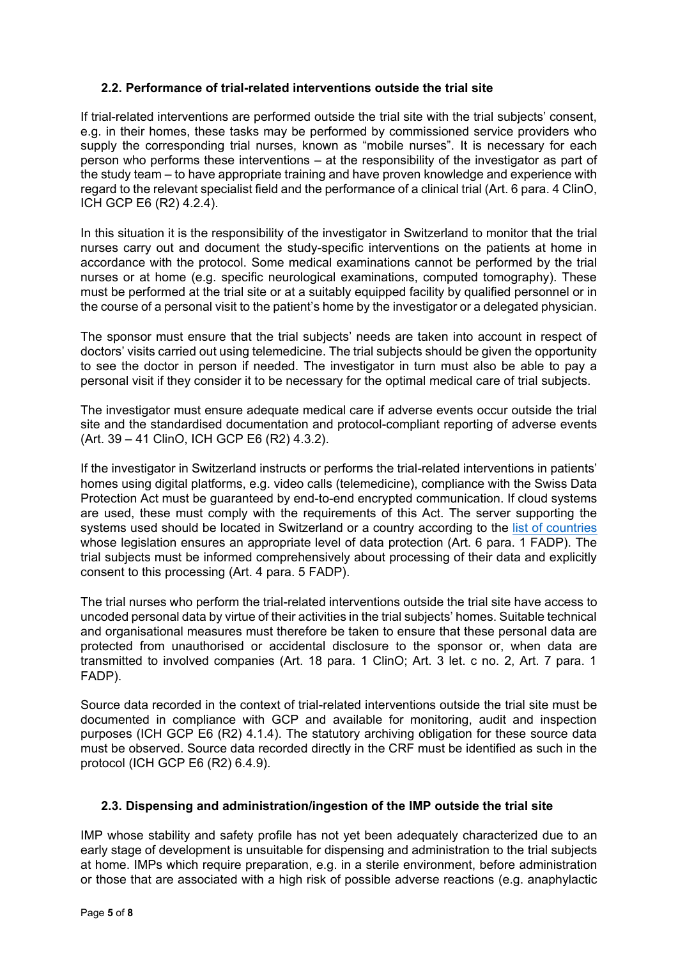#### <span id="page-4-0"></span>**2.2. Performance of trial-related interventions outside the trial site**

If trial-related interventions are performed outside the trial site with the trial subjects' consent, e.g. in their homes, these tasks may be performed by commissioned service providers who supply the corresponding trial nurses, known as "mobile nurses". It is necessary for each person who performs these interventions – at the responsibility of the investigator as part of the study team – to have appropriate training and have proven knowledge and experience with regard to the relevant specialist field and the performance of a clinical trial (Art. 6 para. 4 ClinO, ICH GCP E6 (R2) 4.2.4).

In this situation it is the responsibility of the investigator in Switzerland to monitor that the trial nurses carry out and document the study-specific interventions on the patients at home in accordance with the protocol. Some medical examinations cannot be performed by the trial nurses or at home (e.g. specific neurological examinations, computed tomography). These must be performed at the trial site or at a suitably equipped facility by qualified personnel or in the course of a personal visit to the patient's home by the investigator or a delegated physician.

The sponsor must ensure that the trial subjects' needs are taken into account in respect of doctors' visits carried out using telemedicine. The trial subjects should be given the opportunity to see the doctor in person if needed. The investigator in turn must also be able to pay a personal visit if they consider it to be necessary for the optimal medical care of trial subjects.

The investigator must ensure adequate medical care if adverse events occur outside the trial site and the standardised documentation and protocol-compliant reporting of adverse events (Art. 39 – 41 ClinO, ICH GCP E6 (R2) 4.3.2).

If the investigator in Switzerland instructs or performs the trial-related interventions in patients' homes using digital platforms, e.g. video calls (telemedicine), compliance with the Swiss Data Protection Act must be guaranteed by end-to-end encrypted communication. If cloud systems are used, these must comply with the requirements of this Act. The server supporting the systems used should be located in Switzerland or a country according to the [list of countries](https://www.edoeb.admin.ch/dam/edoeb/de/dokumente/2020/staatenliste.pdf.download.pdf/20200908_Staatenliste_d.pdf) whose legislation ensures an appropriate level of data protection (Art. 6 para. 1 FADP). The trial subjects must be informed comprehensively about processing of their data and explicitly consent to this processing (Art. 4 para. 5 FADP).

The trial nurses who perform the trial-related interventions outside the trial site have access to uncoded personal data by virtue of their activities in the trial subjects' homes. Suitable technical and organisational measures must therefore be taken to ensure that these personal data are protected from unauthorised or accidental disclosure to the sponsor or, when data are transmitted to involved companies (Art. 18 para. 1 ClinO; Art. 3 let. c no. 2, Art. 7 para. 1 FADP).

Source data recorded in the context of trial-related interventions outside the trial site must be documented in compliance with GCP and available for monitoring, audit and inspection purposes (ICH GCP E6 (R2) 4.1.4). The statutory archiving obligation for these source data must be observed. Source data recorded directly in the CRF must be identified as such in the protocol (ICH GCP E6 (R2) 6.4.9).

#### <span id="page-4-1"></span>**2.3. Dispensing and administration/ingestion of the IMP outside the trial site**

IMP whose stability and safety profile has not yet been adequately characterized due to an early stage of development is unsuitable for dispensing and administration to the trial subjects at home. IMPs which require preparation, e.g. in a sterile environment, before administration or those that are associated with a high risk of possible adverse reactions (e.g. anaphylactic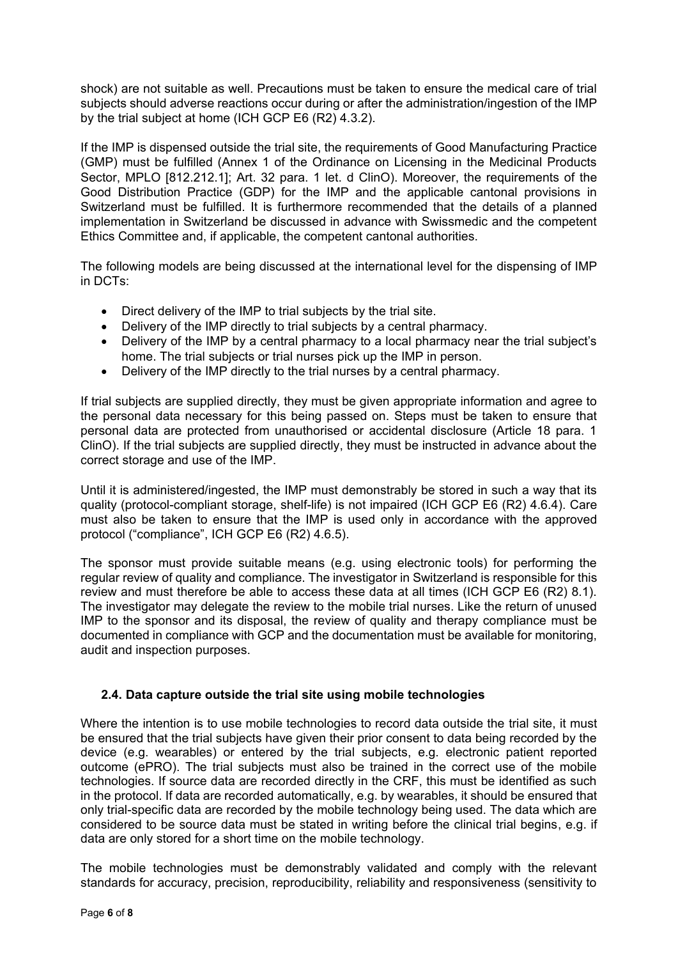shock) are not suitable as well. Precautions must be taken to ensure the medical care of trial subjects should adverse reactions occur during or after the administration/ingestion of the IMP by the trial subject at home (ICH GCP E6 (R2) 4.3.2).

If the IMP is dispensed outside the trial site, the requirements of Good Manufacturing Practice (GMP) must be fulfilled (Annex 1 of the Ordinance on Licensing in the Medicinal Products Sector, MPLO [812.212.1]; Art. 32 para. 1 let. d ClinO). Moreover, the requirements of the Good Distribution Practice (GDP) for the IMP and the applicable cantonal provisions in Switzerland must be fulfilled. It is furthermore recommended that the details of a planned implementation in Switzerland be discussed in advance with Swissmedic and the competent Ethics Committee and, if applicable, the competent cantonal authorities.

The following models are being discussed at the international level for the dispensing of IMP in DCTs:

- Direct delivery of the IMP to trial subjects by the trial site.
- Delivery of the IMP directly to trial subjects by a central pharmacy.
- Delivery of the IMP by a central pharmacy to a local pharmacy near the trial subject's home. The trial subjects or trial nurses pick up the IMP in person.
- Delivery of the IMP directly to the trial nurses by a central pharmacy.

If trial subjects are supplied directly, they must be given appropriate information and agree to the personal data necessary for this being passed on. Steps must be taken to ensure that personal data are protected from unauthorised or accidental disclosure (Article 18 para. 1 ClinO). If the trial subjects are supplied directly, they must be instructed in advance about the correct storage and use of the IMP.

Until it is administered/ingested, the IMP must demonstrably be stored in such a way that its quality (protocol-compliant storage, shelf-life) is not impaired (ICH GCP E6 (R2) 4.6.4). Care must also be taken to ensure that the IMP is used only in accordance with the approved protocol ("compliance", ICH GCP E6 (R2) 4.6.5).

The sponsor must provide suitable means (e.g. using electronic tools) for performing the regular review of quality and compliance. The investigator in Switzerland is responsible for this review and must therefore be able to access these data at all times (ICH GCP E6 (R2) 8.1). The investigator may delegate the review to the mobile trial nurses. Like the return of unused IMP to the sponsor and its disposal, the review of quality and therapy compliance must be documented in compliance with GCP and the documentation must be available for monitoring, audit and inspection purposes.

#### <span id="page-5-0"></span>**2.4. Data capture outside the trial site using mobile technologies**

Where the intention is to use mobile technologies to record data outside the trial site, it must be ensured that the trial subjects have given their prior consent to data being recorded by the device (e.g. wearables) or entered by the trial subjects, e.g. electronic patient reported outcome (ePRO). The trial subjects must also be trained in the correct use of the mobile technologies. If source data are recorded directly in the CRF, this must be identified as such in the protocol. If data are recorded automatically, e.g. by wearables, it should be ensured that only trial-specific data are recorded by the mobile technology being used. The data which are considered to be source data must be stated in writing before the clinical trial begins, e.g. if data are only stored for a short time on the mobile technology.

The mobile technologies must be demonstrably validated and comply with the relevant standards for accuracy, precision, reproducibility, reliability and responsiveness (sensitivity to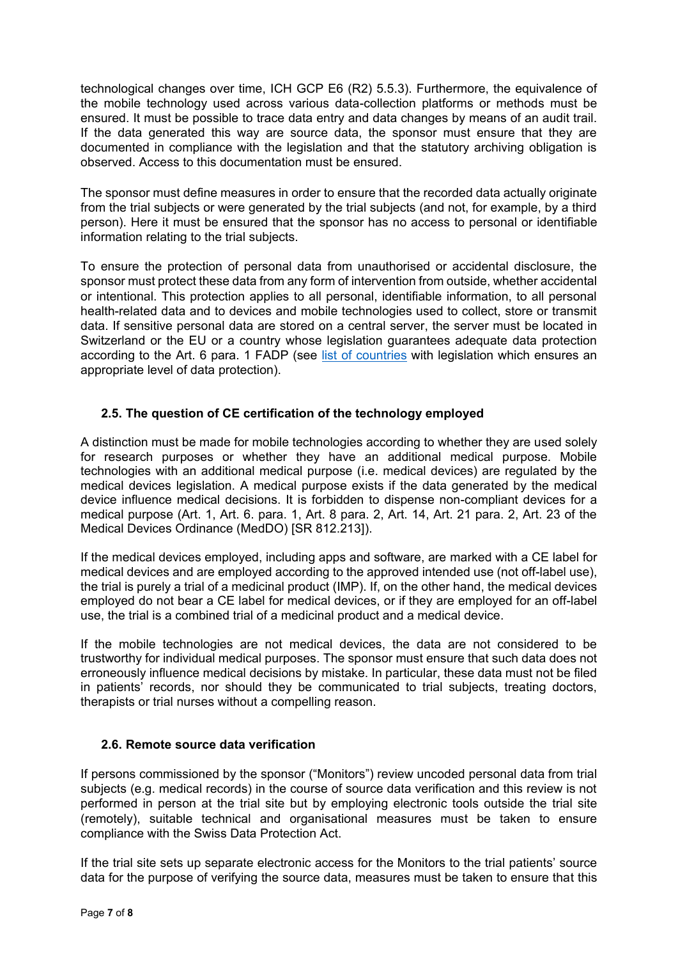technological changes over time, ICH GCP E6 (R2) 5.5.3). Furthermore, the equivalence of the mobile technology used across various data-collection platforms or methods must be ensured. It must be possible to trace data entry and data changes by means of an audit trail. If the data generated this way are source data, the sponsor must ensure that they are documented in compliance with the legislation and that the statutory archiving obligation is observed. Access to this documentation must be ensured.

The sponsor must define measures in order to ensure that the recorded data actually originate from the trial subjects or were generated by the trial subjects (and not, for example, by a third person). Here it must be ensured that the sponsor has no access to personal or identifiable information relating to the trial subjects.

To ensure the protection of personal data from unauthorised or accidental disclosure, the sponsor must protect these data from any form of intervention from outside, whether accidental or intentional. This protection applies to all personal, identifiable information, to all personal health-related data and to devices and mobile technologies used to collect, store or transmit data. If sensitive personal data are stored on a central server, the server must be located in Switzerland or the EU or a country whose legislation guarantees adequate data protection according to the Art. 6 para. 1 FADP (see [list of countries](https://www.edoeb.admin.ch/dam/edoeb/de/dokumente/2020/staatenliste.pdf.download.pdf/20200908_Staatenliste_d.pdf) with legislation which ensures an appropriate level of data protection).

# <span id="page-6-0"></span>**2.5. The question of CE certification of the technology employed**

A distinction must be made for mobile technologies according to whether they are used solely for research purposes or whether they have an additional medical purpose. Mobile technologies with an additional medical purpose (i.e. medical devices) are regulated by the medical devices legislation. A medical purpose exists if the data generated by the medical device influence medical decisions. It is forbidden to dispense non-compliant devices for a medical purpose (Art. 1, Art. 6. para. 1, Art. 8 para. 2, Art. 14, Art. 21 para. 2, Art. 23 of the Medical Devices Ordinance (MedDO) [SR 812.213]).

If the medical devices employed, including apps and software, are marked with a CE label for medical devices and are employed according to the approved intended use (not off-label use), the trial is purely a trial of a medicinal product (IMP). If, on the other hand, the medical devices employed do not bear a CE label for medical devices, or if they are employed for an off-label use, the trial is a combined trial of a medicinal product and a medical device.

If the mobile technologies are not medical devices, the data are not considered to be trustworthy for individual medical purposes. The sponsor must ensure that such data does not erroneously influence medical decisions by mistake. In particular, these data must not be filed in patients' records, nor should they be communicated to trial subjects, treating doctors, therapists or trial nurses without a compelling reason.

# <span id="page-6-1"></span>**2.6. Remote source data verification**

If persons commissioned by the sponsor ("Monitors") review uncoded personal data from trial subjects (e.g. medical records) in the course of source data verification and this review is not performed in person at the trial site but by employing electronic tools outside the trial site (remotely), suitable technical and organisational measures must be taken to ensure compliance with the Swiss Data Protection Act.

If the trial site sets up separate electronic access for the Monitors to the trial patients' source data for the purpose of verifying the source data, measures must be taken to ensure that this